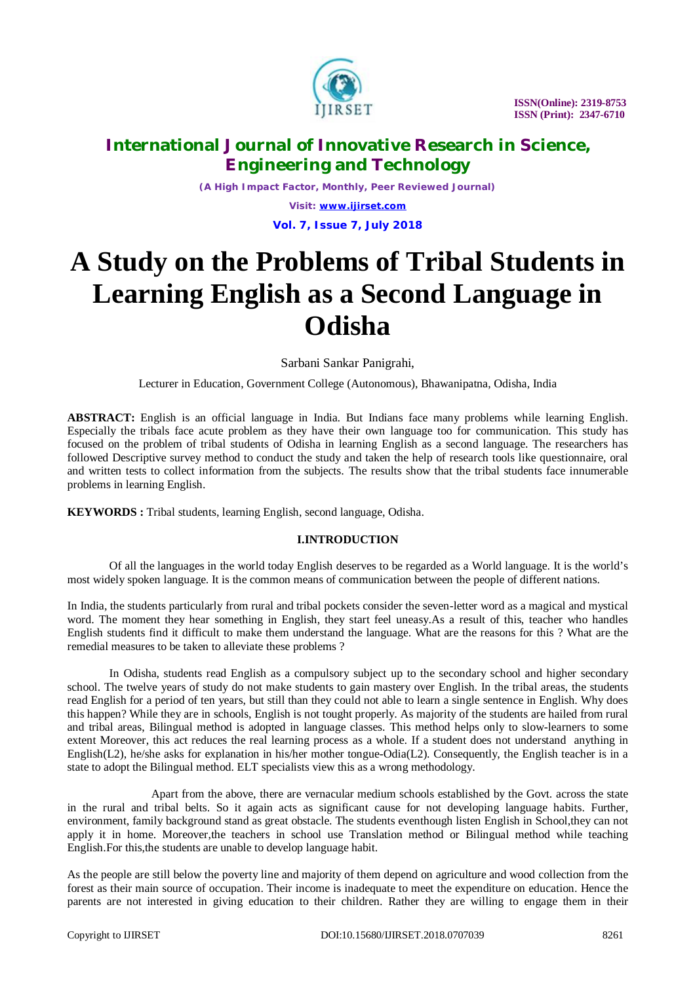

*(A High Impact Factor, Monthly, Peer Reviewed Journal) Visit: [www.ijirset.com](http://www.ijirset.com)* **Vol. 7, Issue 7, July 2018**

# **A Study on the Problems of Tribal Students in Learning English as a Second Language in Odisha**

Sarbani Sankar Panigrahi,

Lecturer in Education, Government College (Autonomous), Bhawanipatna, Odisha, India

**ABSTRACT:** English is an official language in India. But Indians face many problems while learning English. Especially the tribals face acute problem as they have their own language too for communication. This study has focused on the problem of tribal students of Odisha in learning English as a second language. The researchers has followed Descriptive survey method to conduct the study and taken the help of research tools like questionnaire, oral and written tests to collect information from the subjects. The results show that the tribal students face innumerable problems in learning English.

**KEYWORDS :** Tribal students, learning English, second language, Odisha.

### **I.INTRODUCTION**

Of all the languages in the world today English deserves to be regarded as a World language. It is the world's most widely spoken language. It is the common means of communication between the people of different nations.

In India, the students particularly from rural and tribal pockets consider the seven-letter word as a magical and mystical word. The moment they hear something in English, they start feel uneasy.As a result of this, teacher who handles English students find it difficult to make them understand the language. What are the reasons for this ? What are the remedial measures to be taken to alleviate these problems ?

In Odisha, students read English as a compulsory subject up to the secondary school and higher secondary school. The twelve years of study do not make students to gain mastery over English. In the tribal areas, the students read English for a period of ten years, but still than they could not able to learn a single sentence in English. Why does this happen? While they are in schools, English is not tought properly. As majority of the students are hailed from rural and tribal areas, Bilingual method is adopted in language classes. This method helps only to slow-learners to some extent Moreover, this act reduces the real learning process as a whole. If a student does not understand anything in English(L2), he/she asks for explanation in his/her mother tongue-Odia(L2). Consequently, the English teacher is in a state to adopt the Bilingual method. ELT specialists view this as a wrong methodology.

Apart from the above, there are vernacular medium schools established by the Govt. across the state in the rural and tribal belts. So it again acts as significant cause for not developing language habits. Further, environment, family background stand as great obstacle. The students eventhough listen English in School,they can not apply it in home. Moreover,the teachers in school use Translation method or Bilingual method while teaching English.For this,the students are unable to develop language habit.

As the people are still below the poverty line and majority of them depend on agriculture and wood collection from the forest as their main source of occupation. Their income is inadequate to meet the expenditure on education. Hence the parents are not interested in giving education to their children. Rather they are willing to engage them in their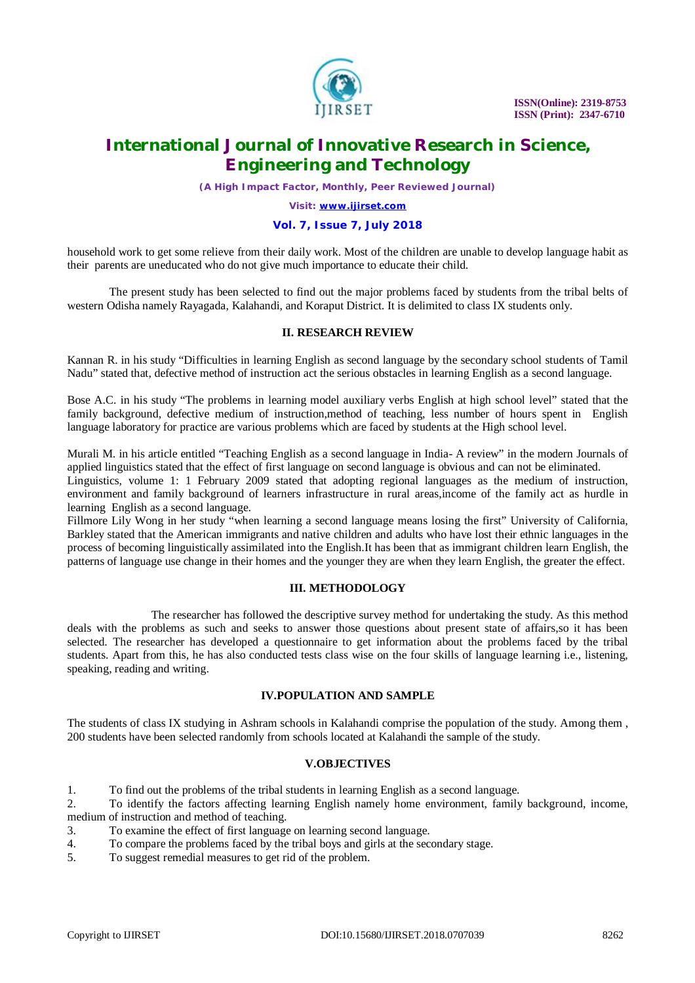

*(A High Impact Factor, Monthly, Peer Reviewed Journal)*

*Visit: [www.ijirset.com](http://www.ijirset.com)*

#### **Vol. 7, Issue 7, July 2018**

household work to get some relieve from their daily work. Most of the children are unable to develop language habit as their parents are uneducated who do not give much importance to educate their child.

The present study has been selected to find out the major problems faced by students from the tribal belts of western Odisha namely Rayagada, Kalahandi, and Koraput District. It is delimited to class IX students only.

### **II. RESEARCH REVIEW**

Kannan R. in his study "Difficulties in learning English as second language by the secondary school students of Tamil Nadu" stated that, defective method of instruction act the serious obstacles in learning English as a second language.

Bose A.C. in his study "The problems in learning model auxiliary verbs English at high school level" stated that the family background, defective medium of instruction,method of teaching, less number of hours spent in English language laboratory for practice are various problems which are faced by students at the High school level.

Murali M. in his article entitled "Teaching English as a second language in India- A review" in the modern Journals of applied linguistics stated that the effect of first language on second language is obvious and can not be eliminated.

Linguistics, volume 1: 1 February 2009 stated that adopting regional languages as the medium of instruction, environment and family background of learners infrastructure in rural areas,income of the family act as hurdle in learning English as a second language.

Fillmore Lily Wong in her study "when learning a second language means losing the first" University of California, Barkley stated that the American immigrants and native children and adults who have lost their ethnic languages in the process of becoming linguistically assimilated into the English.It has been that as immigrant children learn English, the patterns of language use change in their homes and the younger they are when they learn English, the greater the effect.

### **III. METHODOLOGY**

The researcher has followed the descriptive survey method for undertaking the study. As this method deals with the problems as such and seeks to answer those questions about present state of affairs,so it has been selected. The researcher has developed a questionnaire to get information about the problems faced by the tribal students. Apart from this, he has also conducted tests class wise on the four skills of language learning i.e., listening, speaking, reading and writing.

### **IV.POPULATION AND SAMPLE**

The students of class IX studying in Ashram schools in Kalahandi comprise the population of the study. Among them , 200 students have been selected randomly from schools located at Kalahandi the sample of the study.

### **V.OBJECTIVES**

1. To find out the problems of the tribal students in learning English as a second language.

2. To identify the factors affecting learning English namely home environment, family background, income, medium of instruction and method of teaching.

- 3. To examine the effect of first language on learning second language.
- 4. To compare the problems faced by the tribal boys and girls at the secondary stage.
- 5. To suggest remedial measures to get rid of the problem.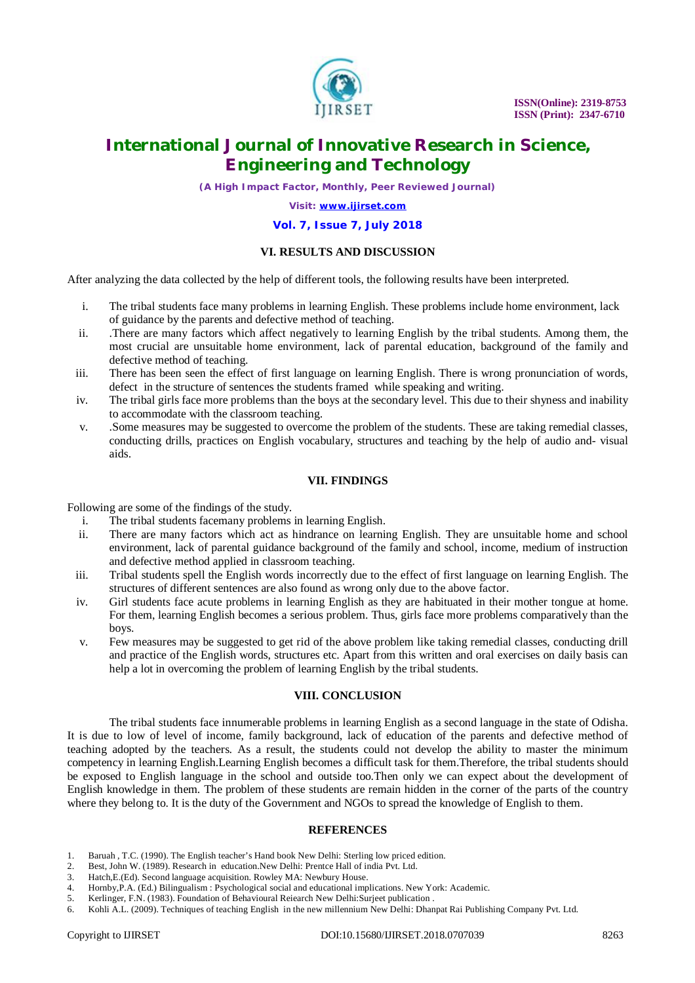

*(A High Impact Factor, Monthly, Peer Reviewed Journal)*

*Visit: [www.ijirset.com](http://www.ijirset.com)*

#### **Vol. 7, Issue 7, July 2018**

### **VI. RESULTS AND DISCUSSION**

After analyzing the data collected by the help of different tools, the following results have been interpreted.

- i. The tribal students face many problems in learning English. These problems include home environment, lack of guidance by the parents and defective method of teaching.
- ii. .There are many factors which affect negatively to learning English by the tribal students. Among them, the most crucial are unsuitable home environment, lack of parental education, background of the family and defective method of teaching.
- iii. There has been seen the effect of first language on learning English. There is wrong pronunciation of words, defect in the structure of sentences the students framed while speaking and writing.
- iv. The tribal girls face more problems than the boys at the secondary level. This due to their shyness and inability to accommodate with the classroom teaching.
- v. .Some measures may be suggested to overcome the problem of the students. These are taking remedial classes, conducting drills, practices on English vocabulary, structures and teaching by the help of audio and- visual aids.

#### **VII. FINDINGS**

Following are some of the findings of the study.

- i. The tribal students facemany problems in learning English.
- ii. There are many factors which act as hindrance on learning English. They are unsuitable home and school environment, lack of parental guidance background of the family and school, income, medium of instruction and defective method applied in classroom teaching.
- iii. Tribal students spell the English words incorrectly due to the effect of first language on learning English. The structures of different sentences are also found as wrong only due to the above factor.
- iv. Girl students face acute problems in learning English as they are habituated in their mother tongue at home. For them, learning English becomes a serious problem. Thus, girls face more problems comparatively than the boys.
- v. Few measures may be suggested to get rid of the above problem like taking remedial classes, conducting drill and practice of the English words, structures etc. Apart from this written and oral exercises on daily basis can help a lot in overcoming the problem of learning English by the tribal students.

### **VIII. CONCLUSION**

The tribal students face innumerable problems in learning English as a second language in the state of Odisha. It is due to low of level of income, family background, lack of education of the parents and defective method of teaching adopted by the teachers. As a result, the students could not develop the ability to master the minimum competency in learning English.Learning English becomes a difficult task for them.Therefore, the tribal students should be exposed to English language in the school and outside too.Then only we can expect about the development of English knowledge in them. The problem of these students are remain hidden in the corner of the parts of the country where they belong to. It is the duty of the Government and NGOs to spread the knowledge of English to them.

### **REFERENCES**

- 1. Baruah , T.C. (1990). The English teacher's Hand book New Delhi: Sterling low priced edition.
- 2. Best, John W. (1989). Research in education.New Delhi: Prentce Hall of india Pvt. Ltd.
- 3. Hatch,E.(Ed). Second language acquisition. Rowley MA: Newbury House.
- 4. Hornby,P.A. (Ed.) Bilingualism : Psychological social and educational implications. New York: Academic.
- 5. Kerlinger, F.N. (1983). Foundation of Behavioural Reiearch New Delhi:Surjeet publication .
- 6. Kohli A.L. (2009). Techniques of teaching English in the new millennium New Delhi: Dhanpat Rai Publishing Company Pvt. Ltd.